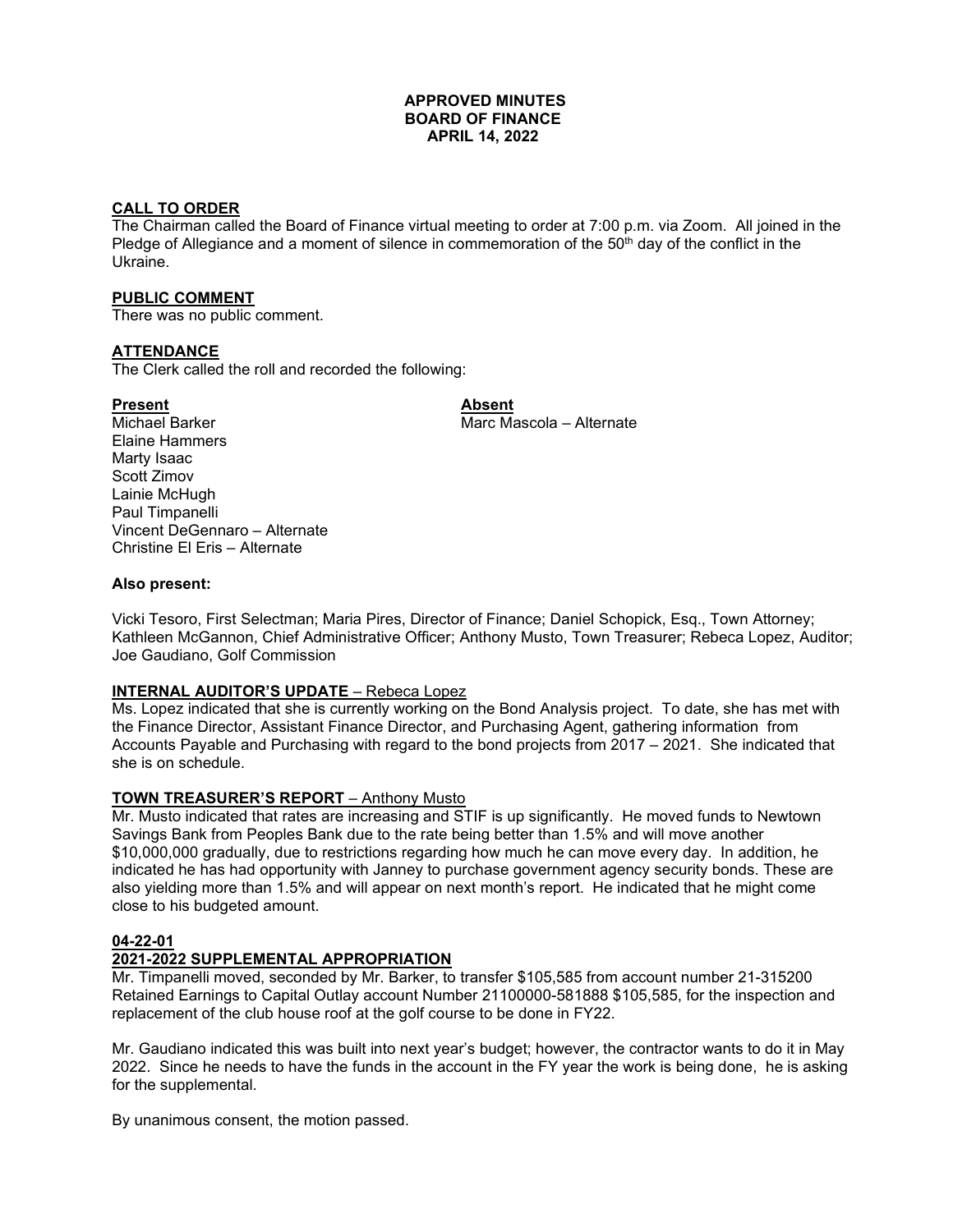#### **APPROVED MINUTES BOARD OF FINANCE APRIL 14, 2022**

## **CALL TO ORDER**

The Chairman called the Board of Finance virtual meeting to order at 7:00 p.m. via Zoom. All joined in the Pledge of Allegiance and a moment of silence in commemoration of the  $50<sup>th</sup>$  day of the conflict in the Ukraine.

#### **PUBLIC COMMENT**

There was no public comment.

#### **ATTENDANCE**

The Clerk called the roll and recorded the following:

#### Present **Absent**

Michael Barker Marc Marc Mascola – Alternate Elaine Hammers Marty Isaac Scott Zimov Lainie McHugh Paul Timpanelli Vincent DeGennaro – Alternate Christine El Eris – Alternate

#### **Also present:**

Vicki Tesoro, First Selectman; Maria Pires, Director of Finance; Daniel Schopick, Esq., Town Attorney; Kathleen McGannon, Chief Administrative Officer; Anthony Musto, Town Treasurer; Rebeca Lopez, Auditor; Joe Gaudiano, Golf Commission

#### **INTERNAL AUDITOR'S UPDATE** – Rebeca Lopez

Ms. Lopez indicated that she is currently working on the Bond Analysis project. To date, she has met with the Finance Director, Assistant Finance Director, and Purchasing Agent, gathering information from Accounts Payable and Purchasing with regard to the bond projects from 2017 – 2021. She indicated that she is on schedule.

# **TOWN TREASURER'S REPORT** – Anthony Musto

Mr. Musto indicated that rates are increasing and STIF is up significantly. He moved funds to Newtown Savings Bank from Peoples Bank due to the rate being better than 1.5% and will move another \$10,000,000 gradually, due to restrictions regarding how much he can move every day. In addition, he indicated he has had opportunity with Janney to purchase government agency security bonds. These are also yielding more than 1.5% and will appear on next month's report. He indicated that he might come close to his budgeted amount.

#### **04-22-01**

# **2021-2022 SUPPLEMENTAL APPROPRIATION**

Mr. Timpanelli moved, seconded by Mr. Barker, to transfer \$105,585 from account number 21-315200 Retained Earnings to Capital Outlay account Number 21100000-581888 \$105,585, for the inspection and replacement of the club house roof at the golf course to be done in FY22.

Mr. Gaudiano indicated this was built into next year's budget; however, the contractor wants to do it in May 2022. Since he needs to have the funds in the account in the FY year the work is being done, he is asking for the supplemental.

By unanimous consent, the motion passed.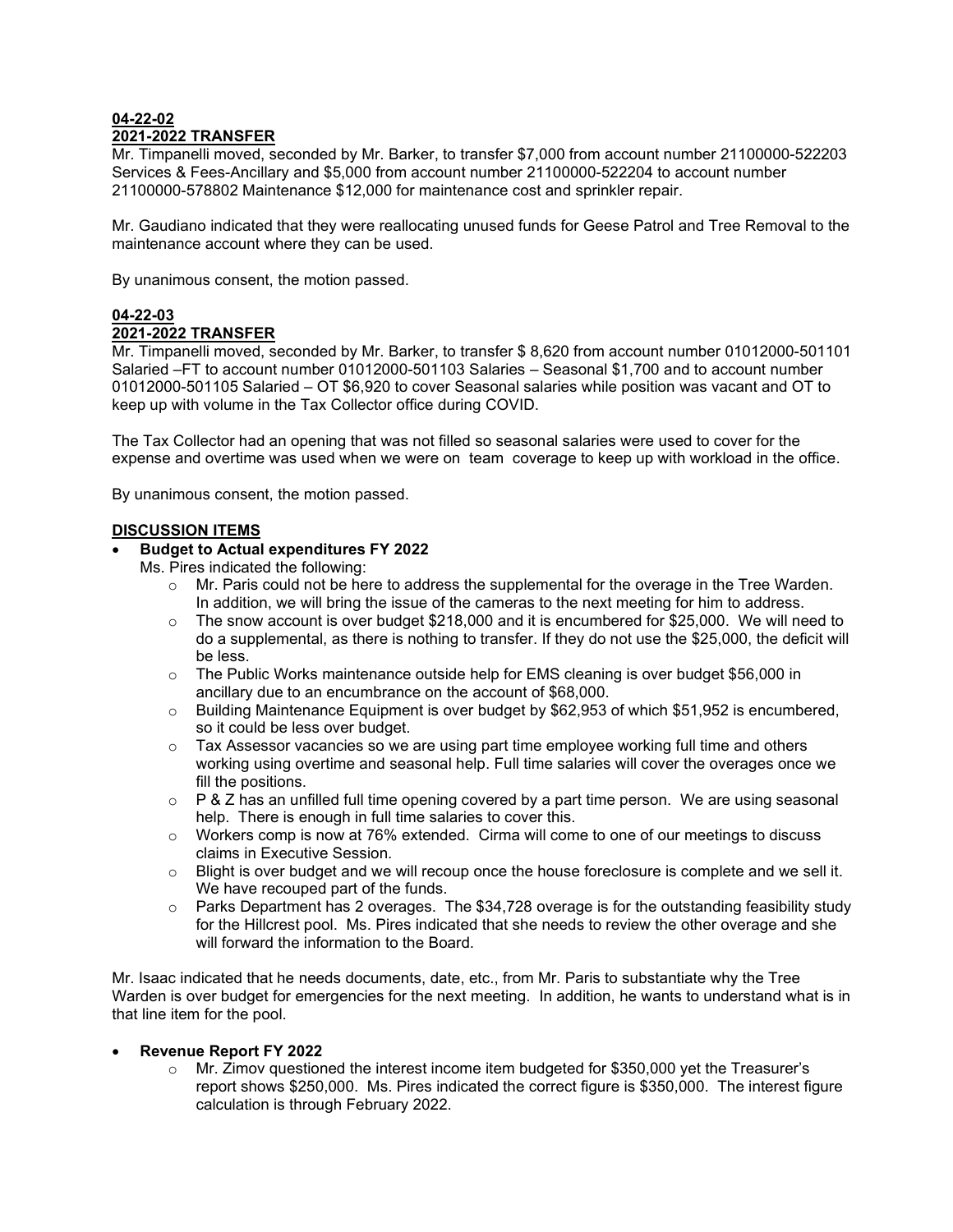# **04-22-02 2021-2022 TRANSFER**

Mr. Timpanelli moved, seconded by Mr. Barker, to transfer \$7,000 from account number 21100000-522203 Services & Fees-Ancillary and \$5,000 from account number 21100000-522204 to account number 21100000-578802 Maintenance \$12,000 for maintenance cost and sprinkler repair.

Mr. Gaudiano indicated that they were reallocating unused funds for Geese Patrol and Tree Removal to the maintenance account where they can be used.

By unanimous consent, the motion passed.

# **04-22-03**

# **2021-2022 TRANSFER**

Mr. Timpanelli moved, seconded by Mr. Barker, to transfer \$ 8,620 from account number 01012000-501101 Salaried –FT to account number 01012000-501103 Salaries – Seasonal \$1,700 and to account number 01012000-501105 Salaried – OT \$6,920 to cover Seasonal salaries while position was vacant and OT to keep up with volume in the Tax Collector office during COVID.

The Tax Collector had an opening that was not filled so seasonal salaries were used to cover for the expense and overtime was used when we were on team coverage to keep up with workload in the office.

By unanimous consent, the motion passed.

# **DISCUSSION ITEMS**

# • **Budget to Actual expenditures FY 2022**

Ms. Pires indicated the following:

- $\circ$  Mr. Paris could not be here to address the supplemental for the overage in the Tree Warden. In addition, we will bring the issue of the cameras to the next meeting for him to address.
- $\circ$  The snow account is over budget \$218,000 and it is encumbered for \$25,000. We will need to do a supplemental, as there is nothing to transfer. If they do not use the \$25,000, the deficit will be less.
- $\circ$  The Public Works maintenance outside help for EMS cleaning is over budget \$56,000 in ancillary due to an encumbrance on the account of \$68,000.
- $\circ$  Building Maintenance Equipment is over budget by \$62,953 of which \$51,952 is encumbered, so it could be less over budget.
- $\circ$  Tax Assessor vacancies so we are using part time employee working full time and others working using overtime and seasonal help. Full time salaries will cover the overages once we fill the positions.
- $\circ$  P & Z has an unfilled full time opening covered by a part time person. We are using seasonal help. There is enough in full time salaries to cover this.
- $\circ$  Workers comp is now at 76% extended. Cirma will come to one of our meetings to discuss claims in Executive Session.
- $\circ$  Blight is over budget and we will recoup once the house foreclosure is complete and we sell it. We have recouped part of the funds.
- $\circ$  Parks Department has 2 overages. The \$34,728 overage is for the outstanding feasibility study for the Hillcrest pool. Ms. Pires indicated that she needs to review the other overage and she will forward the information to the Board.

Mr. Isaac indicated that he needs documents, date, etc., from Mr. Paris to substantiate why the Tree Warden is over budget for emergencies for the next meeting. In addition, he wants to understand what is in that line item for the pool.

#### • **Revenue Report FY 2022**

o Mr. Zimov questioned the interest income item budgeted for \$350,000 yet the Treasurer's report shows \$250,000. Ms. Pires indicated the correct figure is \$350,000. The interest figure calculation is through February 2022.